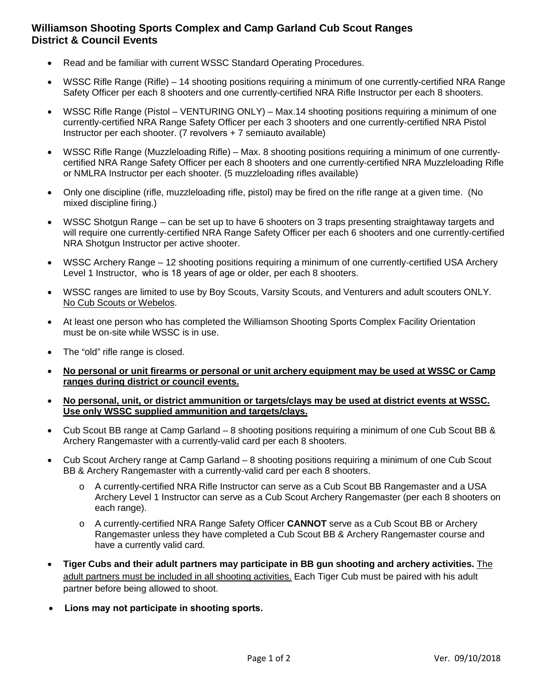## **Williamson Shooting Sports Complex and Camp Garland Cub Scout Ranges District & Council Events**

- Read and be familiar with current WSSC Standard Operating Procedures.
- WSSC Rifle Range (Rifle) 14 shooting positions requiring a minimum of one currently-certified NRA Range Safety Officer per each 8 shooters and one currently-certified NRA Rifle Instructor per each 8 shooters.
- WSSC Rifle Range (Pistol VENTURING ONLY) Max.14 shooting positions requiring a minimum of one currently-certified NRA Range Safety Officer per each 3 shooters and one currently-certified NRA Pistol Instructor per each shooter. (7 revolvers + 7 semiauto available)
- WSSC Rifle Range (Muzzleloading Rifle) Max. 8 shooting positions requiring a minimum of one currentlycertified NRA Range Safety Officer per each 8 shooters and one currently-certified NRA Muzzleloading Rifle or NMLRA Instructor per each shooter. (5 muzzleloading rifles available)
- Only one discipline (rifle, muzzleloading rifle, pistol) may be fired on the rifle range at a given time. (No mixed discipline firing.)
- WSSC Shotgun Range can be set up to have 6 shooters on 3 traps presenting straightaway targets and will require one currently-certified NRA Range Safety Officer per each 6 shooters and one currently-certified NRA Shotgun Instructor per active shooter.
- WSSC Archery Range 12 shooting positions requiring a minimum of one currently-certified USA Archery Level 1 Instructor, who is 18 years of age or older, per each 8 shooters.
- WSSC ranges are limited to use by Boy Scouts, Varsity Scouts, and Venturers and adult scouters ONLY. No Cub Scouts or Webelos.
- At least one person who has completed the Williamson Shooting Sports Complex Facility Orientation must be on-site while WSSC is in use.
- The "old" rifle range is closed.
- **No personal or unit firearms or personal or unit archery equipment may be used at WSSC or Camp ranges during district or council events.**
- **No personal, unit, or district ammunition or targets/clays may be used at district events at WSSC. Use only WSSC supplied ammunition and targets/clays.**
- Cub Scout BB range at Camp Garland 8 shooting positions requiring a minimum of one Cub Scout BB & Archery Rangemaster with a currently-valid card per each 8 shooters.
- Cub Scout Archery range at Camp Garland 8 shooting positions requiring a minimum of one Cub Scout BB & Archery Rangemaster with a currently-valid card per each 8 shooters.
	- o A currently-certified NRA Rifle Instructor can serve as a Cub Scout BB Rangemaster and a USA Archery Level 1 Instructor can serve as a Cub Scout Archery Rangemaster (per each 8 shooters on each range).
	- o A currently-certified NRA Range Safety Officer **CANNOT** serve as a Cub Scout BB or Archery Rangemaster unless they have completed a Cub Scout BB & Archery Rangemaster course and have a currently valid card.
- **Tiger Cubs and their adult partners may participate in BB gun shooting and archery activities.** The adult partners must be included in all shooting activities. Each Tiger Cub must be paired with his adult partner before being allowed to shoot.
- **Lions may not participate in shooting sports.**